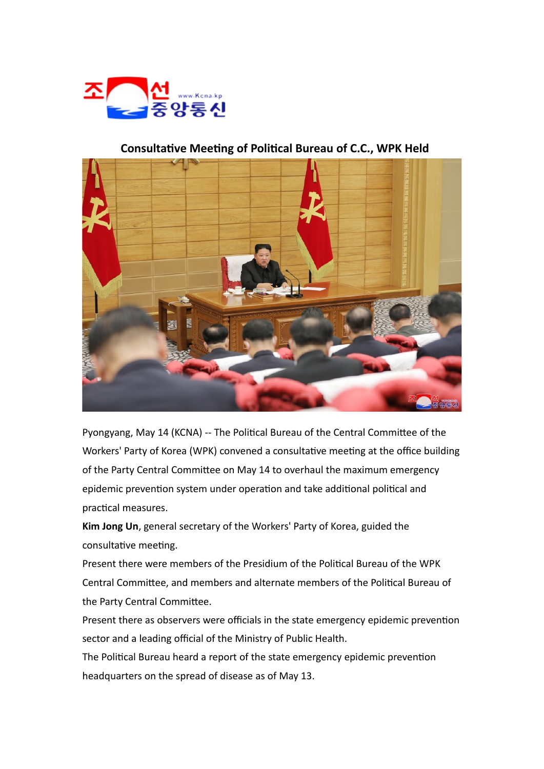

## **Consultative Meeting of Political Bureau of C.C., WPK Held**



Pyongyang, May 14 (KCNA) -- The Political Bureau of the Central Committee of the Workers' Party of Korea (WPK) convened a consultative meeting at the office building of the Party Central Committee on May 14 to overhaul the maximum emergency epidemic prevention system under operation and take additional political and practical measures.

**Kim Jong Un**, general secretary of the Workers' Party of Korea, guided the consultative meeting.

Present there were members of the Presidium of the Political Bureau of the WPK Central Committee, and members and alternate members of the Political Bureau of the Party Central Committee.

Present there as observers were officials in the state emergency epidemic prevention sector and a leading official of the Ministry of Public Health.

The Political Bureau heard a report of the state emergency epidemic prevention headquarters on the spread of disease as of May 13.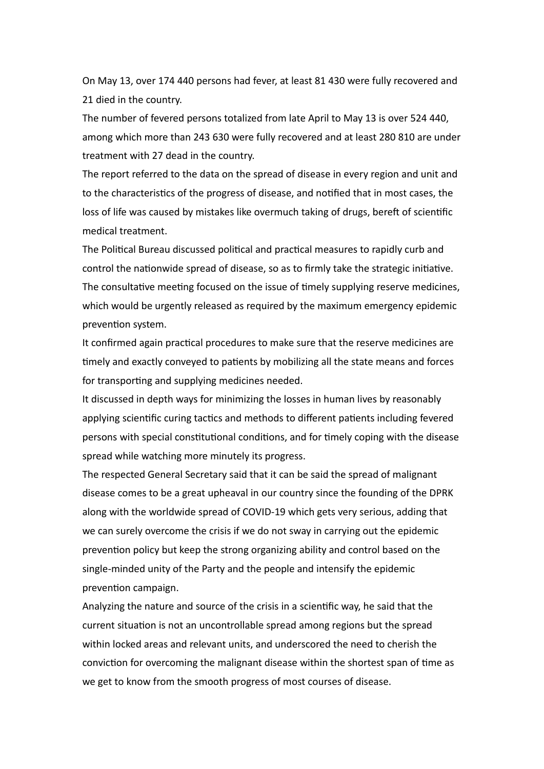On May 13, over 174 440 persons had fever, at least 81 430 were fully recovered and 21 died in the country.

The number of fevered persons totalized from late April to May 13 is over 524 440, among which more than 243 630 were fully recovered and at least 280 810 are under treatment with 27 dead in the country.

The report referred to the data on the spread of disease in every region and unit and to the characteristics of the progress of disease, and notified that in most cases, the loss of life was caused by mistakes like overmuch taking of drugs, bereft of scientific medical treatment.

The Political Bureau discussed political and practical measures to rapidly curb and control the nationwide spread of disease, so as to firmly take the strategic initiative. The consultative meeting focused on the issue of timely supplying reserve medicines, which would be urgently released as required by the maximum emergency epidemic prevention system.

It confirmed again practical procedures to make sure that the reserve medicines are timely and exactly conveyed to patients by mobilizing all the state means and forces for transporting and supplying medicines needed.

It discussed in depth ways for minimizing the losses in human lives by reasonably applying scientific curing tactics and methods to different patients including fevered persons with special constitutional conditions, and for timely coping with the disease spread while watching more minutely its progress.

The respected General Secretary said that it can be said the spread of malignant disease comes to be a great upheaval in our country since the founding of the DPRK along with the worldwide spread of COVID-19 which gets very serious, adding that we can surely overcome the crisis if we do not sway in carrying out the epidemic prevention policy but keep the strong organizing ability and control based on the single-minded unity of the Party and the people and intensify the epidemic prevention campaign.

Analyzing the nature and source of the crisis in a scientific way, he said that the current situation is not an uncontrollable spread among regions but the spread within locked areas and relevant units, and underscored the need to cherish the conviction for overcoming the malignant disease within the shortest span of time as we get to know from the smooth progress of most courses of disease.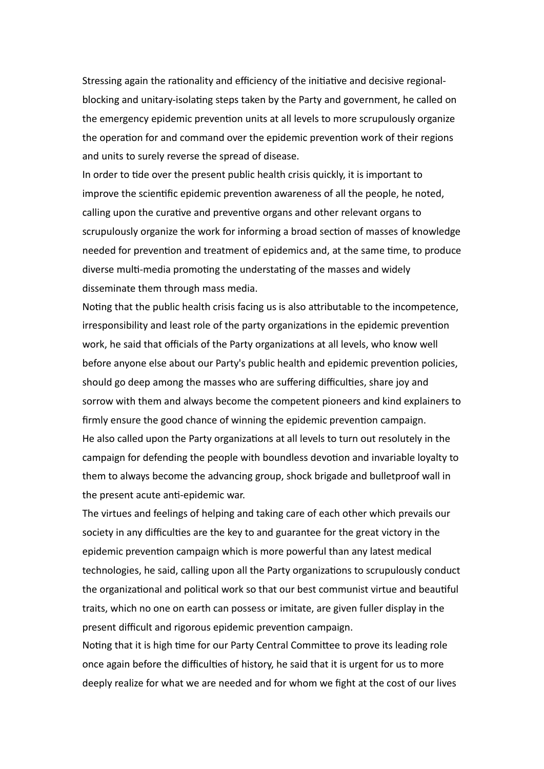Stressing again the rationality and efficiency of the initiative and decisive regionalblocking and unitary-isolating steps taken by the Party and government, he called on the emergency epidemic prevention units at all levels to more scrupulously organize the operation for and command over the epidemic prevention work of their regions and units to surely reverse the spread of disease.

In order to tide over the present public health crisis quickly, it is important to improve the scientific epidemic prevention awareness of all the people, he noted, calling upon the curative and preventive organs and other relevant organs to scrupulously organize the work for informing a broad section of masses of knowledge needed for prevention and treatment of epidemics and, at the same time, to produce diverse multi-media promoting the understating of the masses and widely disseminate them through mass media.

Noting that the public health crisis facing us is also attributable to the incompetence, irresponsibility and least role of the party organizations in the epidemic prevention work, he said that officials of the Party organizations at all levels, who know well before anyone else about our Party's public health and epidemic prevention policies, should go deep among the masses who are suffering difficulties, share joy and sorrow with them and always become the competent pioneers and kind explainers to firmly ensure the good chance of winning the epidemic prevention campaign. He also called upon the Party organizations at all levels to turn out resolutely in the campaign for defending the people with boundless devotion and invariable loyalty to them to always become the advancing group, shock brigade and bulletproof wall in the present acute anti-epidemic war.

The virtues and feelings of helping and taking care of each other which prevails our society in any difficulties are the key to and guarantee for the great victory in the epidemic prevention campaign which is more powerful than any latest medical technologies, he said, calling upon all the Party organizations to scrupulously conduct the organizational and political work so that our best communist virtue and beautiful traits, which no one on earth can possess or imitate, are given fuller display in the present difficult and rigorous epidemic prevention campaign.

Noting that it is high time for our Party Central Committee to prove its leading role once again before the difficulties of history, he said that it is urgent for us to more deeply realize for what we are needed and for whom we fight at the cost of our lives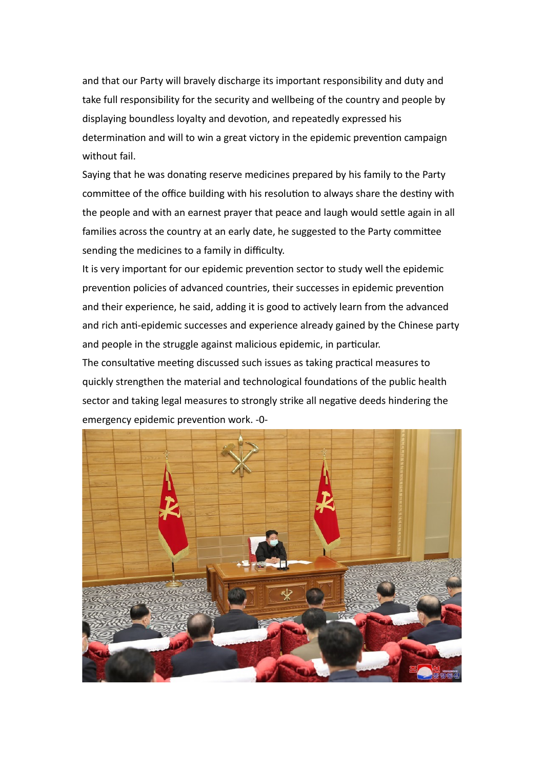and that our Party will bravely discharge its important responsibility and duty and take full responsibility for the security and wellbeing of the country and people by displaying boundless loyalty and devotion, and repeatedly expressed his determination and will to win a great victory in the epidemic prevention campaign without fail.

Saying that he was donating reserve medicines prepared by his family to the Party committee of the office building with his resolution to always share the destiny with the people and with an earnest prayer that peace and laugh would settle again in all families across the country at an early date, he suggested to the Party committee sending the medicines to a family in difficulty.

It is very important for our epidemic prevention sector to study well the epidemic prevention policies of advanced countries, their successes in epidemic prevention and their experience, he said, adding it is good to actively learn from the advanced and rich anti-epidemic successes and experience already gained by the Chinese party and people in the struggle against malicious epidemic, in particular.

The consultative meeting discussed such issues as taking practical measures to quickly strengthen the material and technological foundations of the public health sector and taking legal measures to strongly strike all negative deeds hindering the emergency epidemic prevention work. -0-